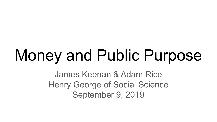### Money and Public Purpose

James Keenan & Adam Rice Henry George of Social Science September 9, 2019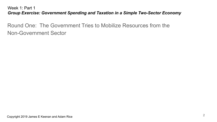Round One: The Government Tries to Mobilize Resources from the Non-Government Sector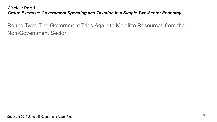Round Two: The Government Tries Again to Mobilize Resources from the Non-Government Sector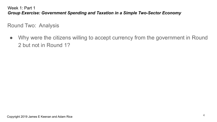Round Two: Analysis

● Why were the citizens willing to accept currency from the government in Round 2 but not in Round 1?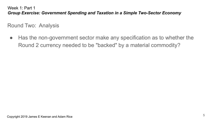Round Two: Analysis

● Has the non-government sector make any specification as to whether the Round 2 currency needed to be "backed" by a material commodity?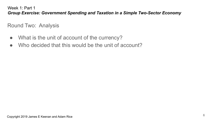Round Two: Analysis

- What is the unit of account of the currency?
- Who decided that this would be the unit of account?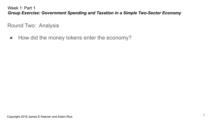Round Two: Analysis

● How did the money tokens enter the economy?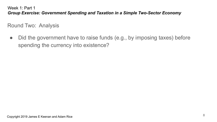Round Two: Analysis

• Did the government have to raise funds (e.g., by imposing taxes) before spending the currency into existence?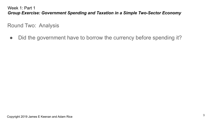Round Two: Analysis

• Did the government have to borrow the currency before spending it?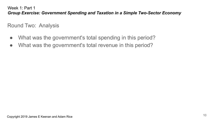Round Two: Analysis

- What was the government's total spending in this period?
- What was the government's total revenue in this period?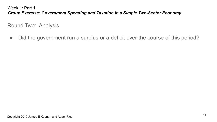Round Two: Analysis

• Did the government run a surplus or a deficit over the course of this period?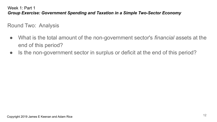Round Two: Analysis

- What is the total amount of the non-government sector's *financial* assets at the end of this period?
- Is the non-government sector in surplus or deficit at the end of this period?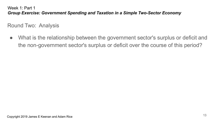Round Two: Analysis

● What is the relationship between the government sector's surplus or deficit and the non-government sector's surplus or deficit over the course of this period?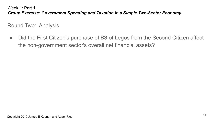Round Two: Analysis

• Did the First Citizen's purchase of B3 of Legos from the Second Citizen affect the non-government sector's overall net financial assets?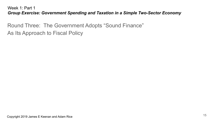Round Three: The Government Adopts "Sound Finance" As Its Approach to Fiscal Policy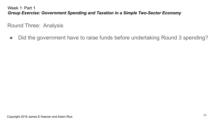Round Three: Analysis

• Did the government have to raise funds before undertaking Round 3 spending?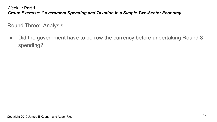Round Three: Analysis

• Did the government have to borrow the currency before undertaking Round 3 spending?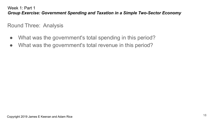Round Three: Analysis

- What was the government's total spending in this period?
- What was the government's total revenue in this period?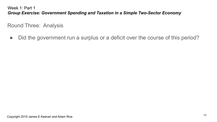Round Three: Analysis

• Did the government run a surplus or a deficit over the course of this period?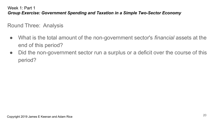Round Three: Analysis

- What is the total amount of the non-government sector's *financial* assets at the end of this period?
- Did the non-government sector run a surplus or a deficit over the course of this period?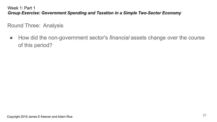Round Three: Analysis

● How did the non-government sector's *financial* assets change over the course of this period?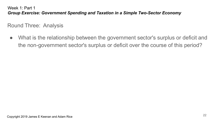Round Three: Analysis

● What is the relationship between the government sector's surplus or deficit and the non-government sector's surplus or deficit over the course of this period?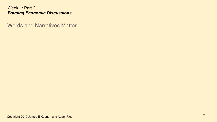Words and Narratives Matter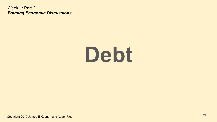### **Debt**

Copyright 2019 James E Keenan and Adam Rice <sup>24</sup>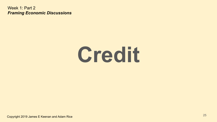### **Credit**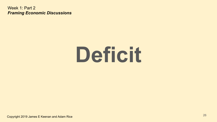### **Deficit**

Copyright 2019 James E Keenan and Adam Rice <sup>26</sup>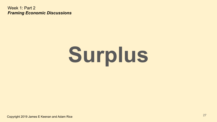## **Surplus**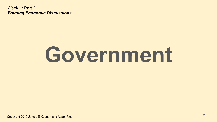### **Government**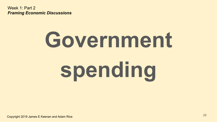# **Government spending**

Copyright 2019 James E Keenan and Adam Rice <sup>29</sup>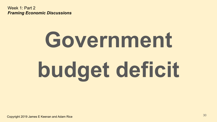## **Government budget deficit**

Copyright 2019 James E Keenan and Adam Rice 30 and 2019 19:00 19:00 19:00 19:00 19:00 19:00 19:00 19:00 19:00 1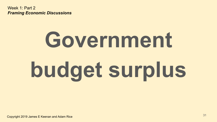## **Government budget surplus**

Copyright 2019 James E Keenan and Adam Rice <sup>31</sup>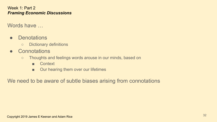Words have ...

- Denotations
	- Dictionary definitions
- Connotations
	- Thoughts and feelings words arouse in our minds, based on
		- Context
		- Our hearing them over our lifetimes

We need to be aware of subtle biases arising from connotations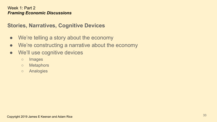### **Stories, Narratives, Cognitive Devices**

- We're telling a story about the economy
- We're constructing a narrative about the economy
- We'll use cognitive devices
	- Images
	- Metaphors
	- Analogies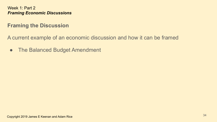### **Framing the Discussion**

A current example of an economic discussion and how it can be framed

● The Balanced Budget Amendment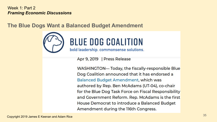**The Blue Dogs Want a Balanced Budget Amendment**



Apr 9, 2019 | Press Release

WASHINGTON-Today, the fiscally-responsible Blue Dog Coalition announced that it has endorsed a Balanced Budget Amendment, which was authored by Rep. Ben McAdams (UT-04), co-chair for the Blue Dog Task Force on Fiscal Responsibility and Government Reform. Rep. McAdams is the first House Democrat to introduce a Balanced Budget Amendment during the 116th Congress.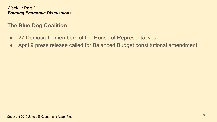### **The Blue Dog Coalition**

- 27 Democratic members of the House of Representatives
- April 9 press release called for Balanced Budget constitutional amendment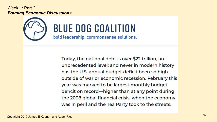# **BLUE DOG COALITION**

bold leadership, commonsense solutions.

Today, the national debt is over \$22 trillion, an unprecedented level; and never in modern history has the U.S. annual budget deficit been so high outside of war or economic recession. February this year was marked to be largest monthly budget deficit on record—higher than at any point during the 2008 global financial crisis, when the economy was in peril and the Tea Party took to the streets.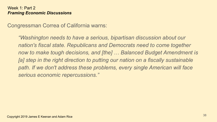Congressman Correa of California warns:

*"Washington needs to have a serious, bipartisan discussion about our nation's fiscal state. Republicans and Democrats need to come together now to make tough decisions, and [the] … Balanced Budget Amendment is [a] step in the right direction to putting our nation on a fiscally sustainable path. If we don't address these problems, every single American will face serious economic repercussions."*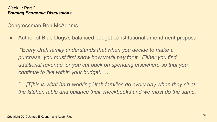Congressman Ben McAdams

● Author of Blue Dogs's balanced budget constitutional amendment proposal

 *"Every Utah family understands that when you decide to make a purchase, you must first show how you'll pay for it. Either you find additional revenue, or you cut back on spending elsewhere so that you continue to live within your budget. …*

"... [T]his is what hard-working Utah families do every day when they sit at *the kitchen table and balance their checkbooks and we must do the same."*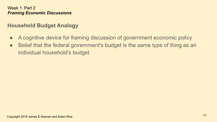# **Household Budget Analogy**

- A cognitive device for framing discussion of government economic policy
- Belief that the federal government's budget is the same type of thing as an individual household's budget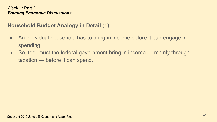# **Household Budget Analogy in Detail** (1)

- An individual household has to bring in income before it can engage in spending.
- So, too, must the federal government bring in income mainly through taxation — before it can spend.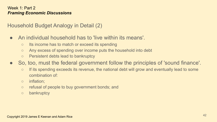Household Budget Analogy in Detail (2)

- An individual household has to 'live within its means'.
	- Its income has to match or exceed its spending
	- Any excess of spending over income puts the household into debt
	- Persistent debts lead to bankruptcy
- So, too, must the federal government follow the principles of 'sound finance'.
	- If its spending exceeds its revenue, the national debt will grow and eventually lead to some combination of:
	- inflation;
	- refusal of people to buy government bonds; and
	- bankruptcy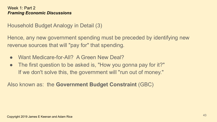Household Budget Analogy in Detail (3)

Hence, any new government spending must be preceded by identifying new revenue sources that will "pay for" that spending.

- Want Medicare-for-All? A Green New Deal?
- The first question to be asked is, "How you gonna pay for it?" If we don't solve this, the government will "run out of money."

Also known as: the **Government Budget Constraint** (GBC)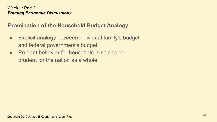# **Examination of the Household Budget Analogy**

- Explicit analogy between individual family's budget and federal government's budget
- Prudent behavior for household is said to be prudent for the nation as a whole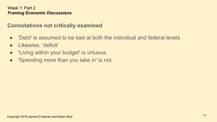## **Connotations not critically examined**

- 'Debt' is assumed to be bad at both the individual and federal levels
- Likewise, 'deficit'
- 'Living within your budget' is virtuous.
- 'Spending more than you take in' is not.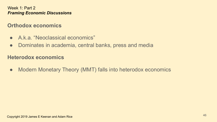## **Orthodox economics**

- A.k.a. "Neoclassical economics"
- Dominates in academia, central banks, press and media

## **Heterodox economics**

• Modern Monetary Theory (MMT) falls into heterodox economics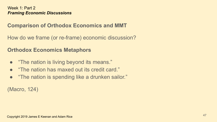# **Comparison of Orthodox Economics and MMT**

How do we frame (or re-frame) economic discussion?

## **Orthodox Economics Metaphors**

- "The nation is living beyond its means."
- "The nation has maxed out its credit card."
- "The nation is spending like a drunken sailor."

(Macro, 124)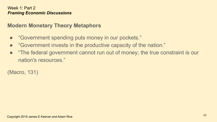# **Modern Monetary Theory Metaphors**

- "Government spending puts money in our pockets."
- "Government invests in the productive capacity of the nation."
- "The federal government cannot run out of money; the true constraint is our nation's resources."

(Macro, 131)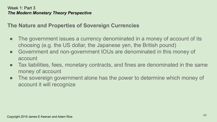## **The Nature and Properties of Sovereign Currencies**

- The government issues a currency denominated in a money of account of its choosing (e.g. the US dollar, the Japanese yen, the British pound)
- Government and non-government IOUs are denominated in this money of account
- Tax liabilities, fees, monetary contracts, and fines are denominated in the same money of account
- The sovereign government alone has the power to determine which money of account it will recognize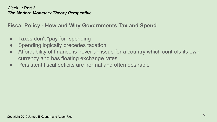**Fiscal Policy - How and Why Governments Tax and Spend**

- Taxes don't "pay for" spending
- Spending logically precedes taxation
- Affordability of finance is never an issue for a country which controls its own currency and has floating exchange rates
- Persistent fiscal deficits are normal and often desirable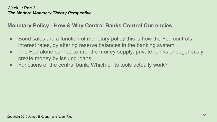# **Monetary Policy - How & Why Central Banks Control Currencies**

- Bond sales are a function of monetary policy this is how the Fed controls interest rates, by altering reserve balances in the banking system
- The Fed alone cannot control the money supply; private banks endogenously create money by issuing loans
- Functions of the central bank: Which of its tools actually work?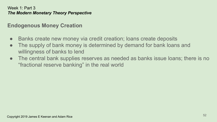## **Endogenous Money Creation**

- Banks create new money via credit creation; loans create deposits
- The supply of bank money is determined by demand for bank loans and willingness of banks to lend
- The central bank supplies reserves as needed as banks issue loans; there is no "fractional reserve banking" in the real world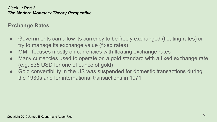# **Exchange Rates**

- Governments can allow its currency to be freely exchanged (floating rates) or try to manage its exchange value (fixed rates)
- MMT focuses mostly on currencies with floating exchange rates
- Many currencies used to operate on a gold standard with a fixed exchange rate (e.g. \$35 USD for one of ounce of gold)
- Gold convertibility in the US was suspended for domestic transactions during the 1930s and for international transactions in 1971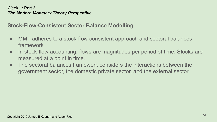# **Stock-Flow-Consistent Sector Balance Modelling**

- MMT adheres to a stock-flow consistent approach and sectoral balances framework
- In stock-flow accounting, flows are magnitudes per period of time. Stocks are measured at a point in time.
- The sectoral balances framework considers the interactions between the government sector, the domestic private sector, and the external sector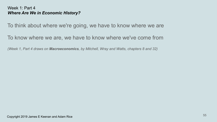To think about where we're going, we have to know where we are

To know where we are, we have to know where we've come from

*(Week 1, Part 4 draws on Macroeconomics, by Mitchell, Wray and Watts, chapters 8 and 32)*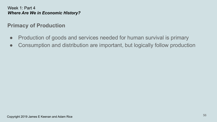# **Primacy of Production**

- Production of goods and services needed for human survival is primary
- Consumption and distribution are important, but logically follow production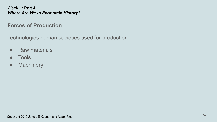## **Forces of Production**

Technologies human societies used for production

- Raw materials
- Tools
- Machinery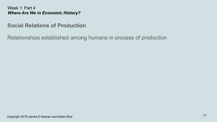## **Social Relations of Production**

Relationships established among humans in process of production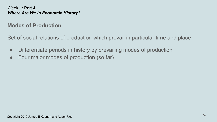## **Modes of Production**

Set of social relations of production which prevail in particular time and place

- Differentiate periods in history by prevailing modes of production
- Four major modes of production (so far)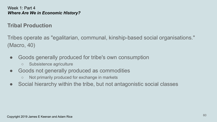## **Tribal Production**

Tribes operate as "egalitarian, communal, kinship-based social organisations." (Macro, 40)

- Goods generally produced for tribe's own consumption
	- Subsistence agriculture
- Goods not generally produced as commodities
	- Not primarily produced for exchange in markets
- Social hierarchy within the tribe, but not antagonistic social classes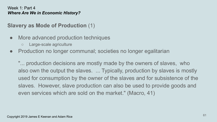# **Slavery as Mode of Production** (1)

- More advanced production techniques
	- Large-scale agriculture
- Production no longer communal; societies no longer egalitarian

"... production decisions are mostly made by the owners of slaves, who also own the output the slaves. ... Typically, production by slaves is mostly used for consumption by the owner of the slaves and for subsistence of the slaves. However, slave production can also be used to provide goods and even services which are sold on the market." (Macro, 41)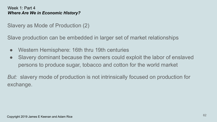Slavery as Mode of Production (2)

Slave production can be embedded in larger set of market relationships

- Western Hemisphere: 16th thru 19th centuries
- Slavery dominant because the owners could exploit the labor of enslaved persons to produce sugar, tobacco and cotton for the world market

*But:* slavery mode of production is not intrinsically focused on production for exchange.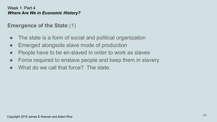## **Emergence of the State** (1)

- The state is a form of social and political organization
- Emerged alongside slave mode of production
- People have to be en-slaved in order to work as slaves
- Force required to enslave people and keep them in slavery
- What do we call that force? The state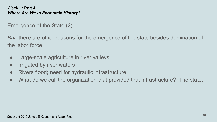Emergence of the State (2)

*But,* there are other reasons for the emergence of the state besides domination of the labor force

- Large-scale agriculture in river valleys
- **•** Irrigated by river waters
- Rivers flood; need for hydraulic infrastructure
- What do we call the organization that provided that infrastructure? The state.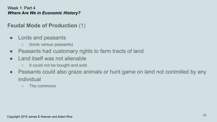## **Feudal Mode of Production** (1)

- Lords and peasants
	- (lords versus peasants)
- Peasants had customary rights to farm tracts of land
- Land itself was not alienable
	- It could not be bought and sold
- Peasants could also graze animals or hunt game on land not controlled by any individual
	- The commons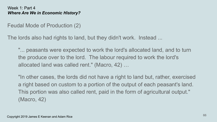Feudal Mode of Production (2)

The lords also had rights to land, but they didn't work. Instead ...

"... peasants were expected to work the lord's allocated land, and to turn the produce over to the lord. The labour required to work the lord's allocated land was called rent." (Macro, 42) …

"In other cases, the lords did not have a right to land but, rather, exercised a right based on custom to a portion of the output of each peasant's land. This portion was also called rent, paid in the form of agricultural output." (Macro, 42)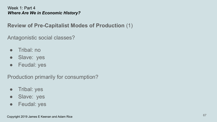## **Review of Pre-Capitalist Modes of Production** (1)

Antagonistic social classes?

- Tribal: no
- Slave: yes
- Feudal: yes

Production primarily for consumption?

- Tribal: yes
- Slave: yes
- Feudal: yes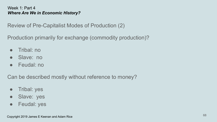Review of Pre-Capitalist Modes of Production (2)

Production primarily for exchange (commodity production)?

- Tribal: no
- Slave: no
- Feudal: no

Can be described mostly without reference to money?

- Tribal: yes
- Slave: yes
- Feudal: yes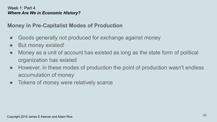# **Money in Pre-Capitalist Modes of Production**

- Goods generally not produced for exchange against money
- But money existed!
- Money as a unit of account has existed as long as the state form of political organization has existed
- However, in these modes of production the point of production wasn't endless accumulation of money
- Tokens of money were relatively scarce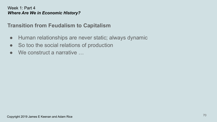## **Transition from Feudalism to Capitalism**

- Human relationships are never static; always dynamic
- So too the social relations of production
- $\bullet$  We construct a narrative  $\ldots$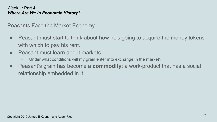Peasants Face the Market Economy

- Peasant must start to think about how he's going to acquire the money tokens with which to pay his rent.
- Peasant must learn about markets
	- Under what conditions will my grain enter into exchange in the market?
- Peasant's grain has become a **commodity**: a work-product that has a social relationship embedded in it.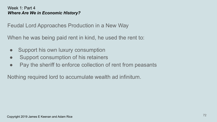Feudal Lord Approaches Production in a New Way

When he was being paid rent in kind, he used the rent to:

- Support his own luxury consumption
- Support consumption of his retainers
- Pay the sheriff to enforce collection of rent from peasants

Nothing required lord to accumulate wealth ad infinitum.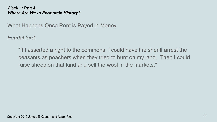What Happens Once Rent is Payed in Money

*Feudal lord:*

"If I asserted a right to the commons, I could have the sheriff arrest the peasants as poachers when they tried to hunt on my land. Then I could raise sheep on that land and sell the wool in the markets."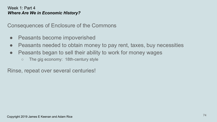Consequences of Enclosure of the Commons

- Peasants become impoverished
- Peasants needed to obtain money to pay rent, taxes, buy necessities
- Peasants began to sell their ability to work for money wages
	- The gig economy: 18th-century style

Rinse, repeat over several centuries!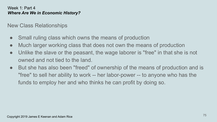New Class Relationships

- Small ruling class which owns the means of production
- Much larger working class that does not own the means of production
- Unlike the slave or the peasant, the wage laborer is "free" in that she is not owned and not tied to the land.
- But she has also been "freed" of ownership of the means of production and is "free" to sell her ability to work -- her labor-power -- to anyone who has the funds to employ her and who thinks he can profit by doing so.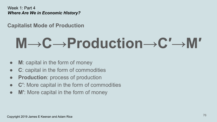## **Capitalist Mode of Production**

# **M→C→Production→C′→M′**

- **M**: capital in the form of money
- **C**: capital in the form of commodities
- **Production**: process of production
- **C′**: More capital in the form of commodities
- **M′**: More capital in the form of money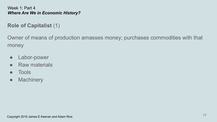## **Role of Capitalist** (1)

Owner of means of production amasses money; purchases commodities with that money

- Labor-power
- Raw materials
- Tools
- Machinery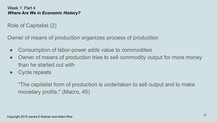Role of Capitalist (2)

Owner of means of production organizes process of production

- Consumption of labor-power adds value to commodities
- Owner of means of production tries to sell commodity output for more money than he started out with
- Cycle repeats

"The capitalist form of production is undertaken to sell output and to make monetary profits." (Macro, 45)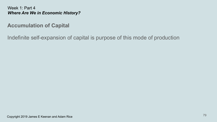**Accumulation of Capital**

Indefinite self-expansion of capital is purpose of this mode of production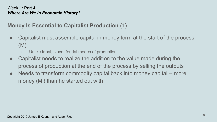## **Money Is Essential to Capitalist Production** (1)

- Capitalist must assemble capital in money form at the start of the process (M)
	- Unlike tribal, slave, feudal modes of production
- Capitalist needs to realize the addition to the value made during the process of production at the end of the process by selling the outputs
- Needs to transform commodity capital back into money capital -- more money (M′) than he started out with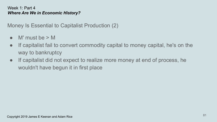Money Is Essential to Capitalist Production (2)

- $\bullet$  M' must be  $> M$
- If capitalist fail to convert commodity capital to money capital, he's on the way to bankruptcy
- If capitalist did not expect to realize more money at end of process, he wouldn't have begun it in first place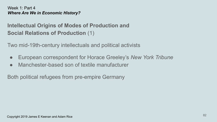## **Intellectual Origins of Modes of Production and Social Relations of Production** (1)

Two mid-19th-century intellectuals and political activists

- European correspondent for Horace Greeley's *New York Tribune*
- Manchester-based son of textile manufacturer

Both political refugees from pre-empire Germany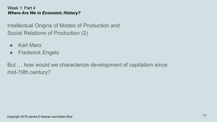Intellectual Origins of Modes of Production and Social Relations of Production (2)

- Karl Marx
- Frederick Engels

But … how would we characterize development of capitalism since mid-19th century?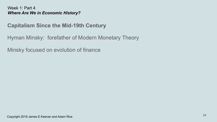## **Capitalism Since the Mid-19th Century**

Hyman Minsky: forefather of Modern Monetary Theory

Minsky focused on evolution of finance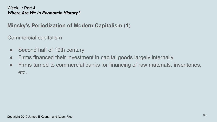## **Minsky's Periodization of Modern Capitalism** (1)

Commercial capitalism

- Second half of 19th century
- Firms financed their investment in capital goods largely internally
- Firms turned to commercial banks for financing of raw materials, inventories, etc.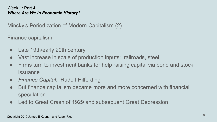Minsky's Periodization of Modern Capitalism (2)

Finance capitalism

- Late 19th/early 20th century
- Vast increase in scale of production inputs: railroads, steel
- Firms turn to investment banks for help raising capital via bond and stock issuance
- *Finance Capital*: Rudolf Hilferding
- But finance capitalism became more and more concerned with financial speculation
- Led to Great Crash of 1929 and subsequent Great Depression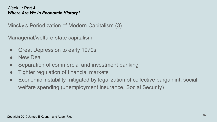Minsky's Periodization of Modern Capitalism (3)

Managerial/welfare-state capitalism

- Great Depression to early 1970s
- **New Deal**
- Separation of commercial and investment banking
- Tighter regulation of financial markets
- Economic instability mitigated by legalization of collective bargainint, social welfare spending (unemployment insurance, Social Security)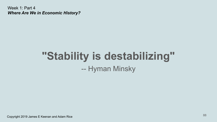## **"Stability is destabilizing"** -- Hyman Minsky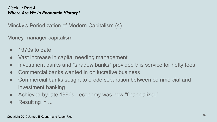Minsky's Periodization of Modern Capitalism (4)

Money-manager capitalism

- $\bullet$  1970s to date
- Vast increase in capital needing management
- Investment banks and "shadow banks" provided this service for hefty fees
- Commercial banks wanted in on lucrative business
- Commercial banks sought to erode separation between commercial and investment banking
- Achieved by late 1990s: economy was now "financialized"
- Resulting in ...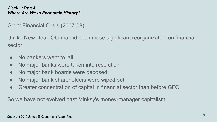Great Financial Crisis (2007-08)

Unlike New Deal, Obama did not impose significant reorganization on financial sector

- No bankers went to jail
- No major banks were taken into resolution
- No major bank boards were deposed
- No major bank shareholders were wiped out
- Greater concentration of capital in financial sector than before GFC

So we have not evolved past Minksy's money-manager capitalism.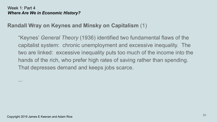### **Randall Wray on Keynes and Minsky on Capitalism** (1)

"Keynes' *General Theory* (1936) identified two fundamental flaws of the capitalist system: chronic unemployment and excessive inequality. The two are linked: excessive inequality puts too much of the income into the hands of the rich, who prefer high rates of saving rather than spending. That depresses demand and keeps jobs scarce.

...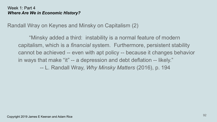Randall Wray on Keynes and Minsky on Capitalism (2)

"Minsky added a third: instability is a normal feature of modern capitalism, which is a *financial* system. Furthermore, persistent stability cannot be achieved -- even with apt policy -- because it changes behavior in ways that make "it" -- a depression and debt deflation -- likely." -- L. Randall Wray, *Why Minsky Matters* (2016), p. 194